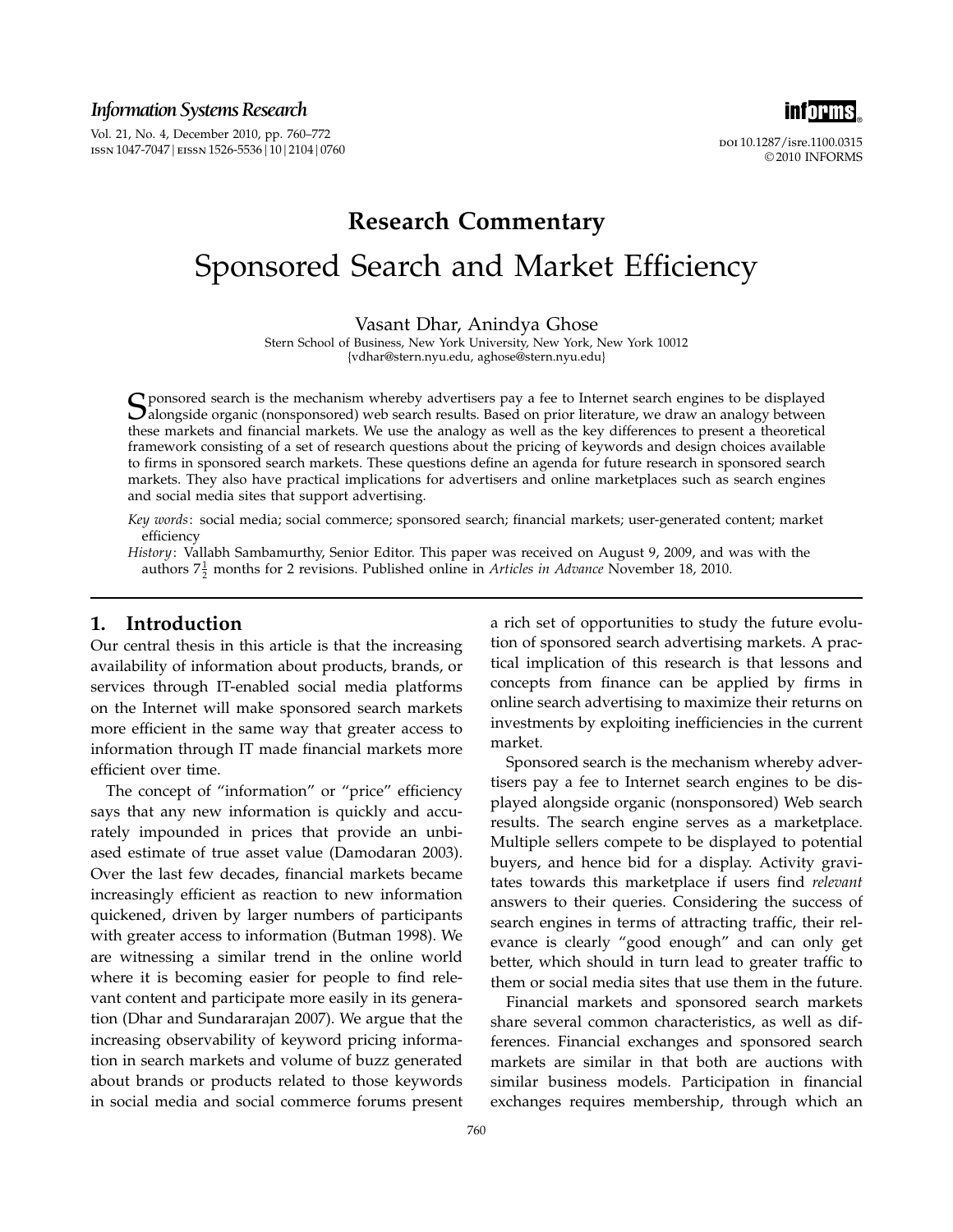*Information Systems Research*

Vol. 21, No. 4, December 2010, pp. 760–772 ISSN 1047-7047 | EISSN 1526-5536 | 10 | 2104 | 0760



doi 10.1287/isre.1100.0315 © 2010 INFORMS

# Research Commentary Sponsored Search and Market Efficiency

Vasant Dhar, Anindya Ghose

Stern School of Business, New York University, New York, New York 10012 {vdhar@stern.nyu.edu, aghose@stern.nyu.edu}

 $S$  ponsored search is the mechanism whereby advertisers pay a fee to Internet search engines to be displayed<br>alongside organic (nonsponsored) web search results. Based on prior literature, we draw an analogy between<br>thes these markets and financial markets. We use the analogy as well as the key differences to present a theoretical framework consisting of a set of research questions about the pricing of keywords and design choices available to firms in sponsored search markets. These questions define an agenda for future research in sponsored search markets. They also have practical implications for advertisers and online marketplaces such as search engines and social media sites that support advertising.

Key words: social media; social commerce; sponsored search; financial markets; user-generated content; market efficiency

History: Vallabh Sambamurthy, Senior Editor. This paper was received on August 9, 2009, and was with the authors  $7\frac{1}{2}$  months for 2 revisions. Published online in *Articles in Advance* November 18, 2010.

### 1. Introduction

Our central thesis in this article is that the increasing availability of information about products, brands, or services through IT-enabled social media platforms on the Internet will make sponsored search markets more efficient in the same way that greater access to information through IT made financial markets more efficient over time.

The concept of "information" or "price" efficiency says that any new information is quickly and accurately impounded in prices that provide an unbiased estimate of true asset value (Damodaran 2003). Over the last few decades, financial markets became increasingly efficient as reaction to new information quickened, driven by larger numbers of participants with greater access to information (Butman 1998). We are witnessing a similar trend in the online world where it is becoming easier for people to find relevant content and participate more easily in its generation (Dhar and Sundararajan 2007). We argue that the increasing observability of keyword pricing information in search markets and volume of buzz generated about brands or products related to those keywords in social media and social commerce forums present

a rich set of opportunities to study the future evolution of sponsored search advertising markets. A practical implication of this research is that lessons and concepts from finance can be applied by firms in online search advertising to maximize their returns on investments by exploiting inefficiencies in the current market.

Sponsored search is the mechanism whereby advertisers pay a fee to Internet search engines to be displayed alongside organic (nonsponsored) Web search results. The search engine serves as a marketplace. Multiple sellers compete to be displayed to potential buyers, and hence bid for a display. Activity gravitates towards this marketplace if users find relevant answers to their queries. Considering the success of search engines in terms of attracting traffic, their relevance is clearly "good enough" and can only get better, which should in turn lead to greater traffic to them or social media sites that use them in the future.

Financial markets and sponsored search markets share several common characteristics, as well as differences. Financial exchanges and sponsored search markets are similar in that both are auctions with similar business models. Participation in financial exchanges requires membership, through which an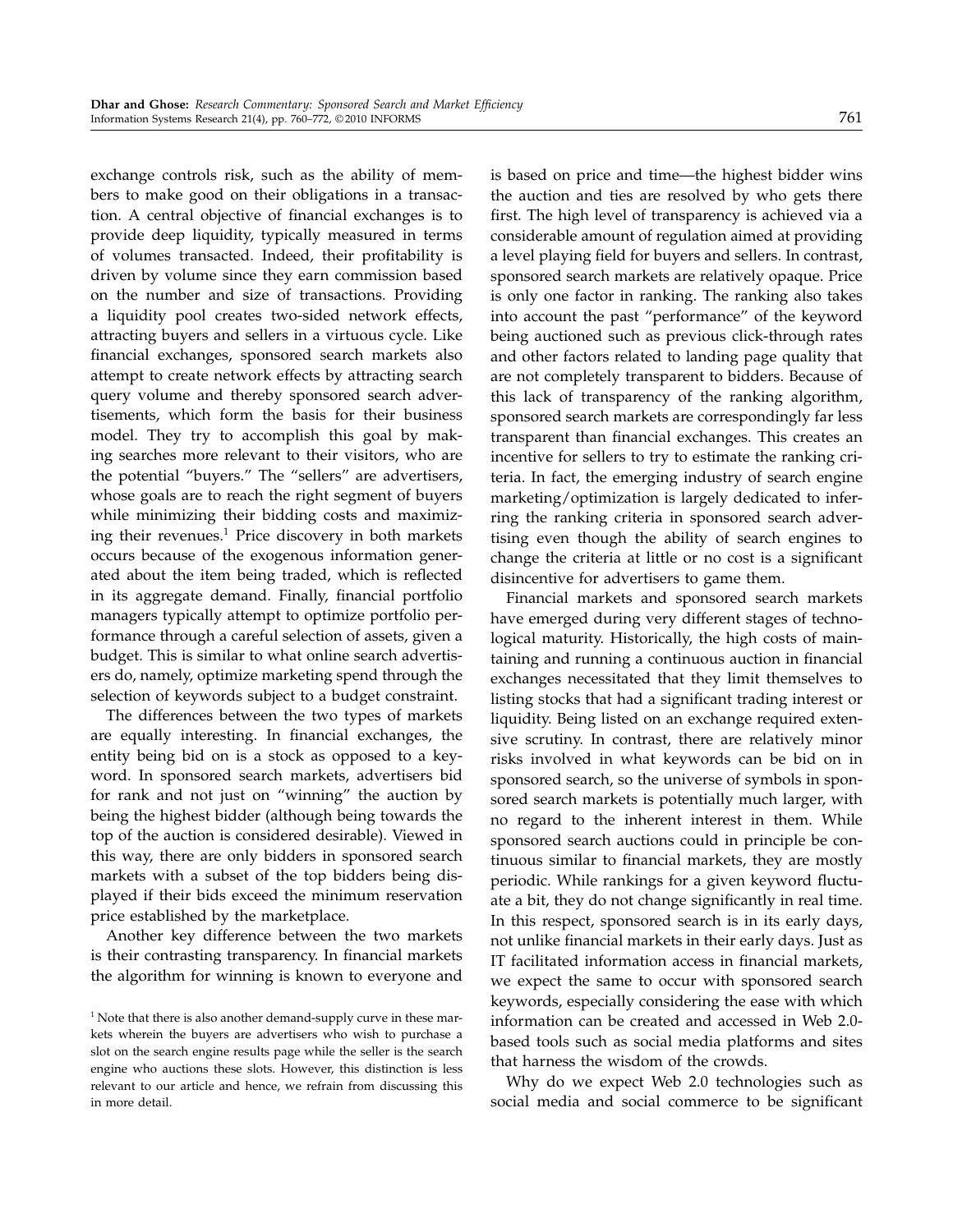exchange controls risk, such as the ability of members to make good on their obligations in a transaction. A central objective of financial exchanges is to provide deep liquidity, typically measured in terms of volumes transacted. Indeed, their profitability is driven by volume since they earn commission based on the number and size of transactions. Providing a liquidity pool creates two-sided network effects, attracting buyers and sellers in a virtuous cycle. Like financial exchanges, sponsored search markets also attempt to create network effects by attracting search query volume and thereby sponsored search advertisements, which form the basis for their business model. They try to accomplish this goal by making searches more relevant to their visitors, who are the potential "buyers." The "sellers" are advertisers, whose goals are to reach the right segment of buyers while minimizing their bidding costs and maximizing their revenues.<sup>1</sup> Price discovery in both markets occurs because of the exogenous information generated about the item being traded, which is reflected in its aggregate demand. Finally, financial portfolio managers typically attempt to optimize portfolio performance through a careful selection of assets, given a budget. This is similar to what online search advertisers do, namely, optimize marketing spend through the selection of keywords subject to a budget constraint.

The differences between the two types of markets are equally interesting. In financial exchanges, the entity being bid on is a stock as opposed to a keyword. In sponsored search markets, advertisers bid for rank and not just on "winning" the auction by being the highest bidder (although being towards the top of the auction is considered desirable). Viewed in this way, there are only bidders in sponsored search markets with a subset of the top bidders being displayed if their bids exceed the minimum reservation price established by the marketplace.

Another key difference between the two markets is their contrasting transparency. In financial markets the algorithm for winning is known to everyone and is based on price and time—the highest bidder wins the auction and ties are resolved by who gets there first. The high level of transparency is achieved via a considerable amount of regulation aimed at providing a level playing field for buyers and sellers. In contrast, sponsored search markets are relatively opaque. Price is only one factor in ranking. The ranking also takes into account the past "performance" of the keyword being auctioned such as previous click-through rates and other factors related to landing page quality that are not completely transparent to bidders. Because of this lack of transparency of the ranking algorithm, sponsored search markets are correspondingly far less transparent than financial exchanges. This creates an incentive for sellers to try to estimate the ranking criteria. In fact, the emerging industry of search engine marketing/optimization is largely dedicated to inferring the ranking criteria in sponsored search advertising even though the ability of search engines to change the criteria at little or no cost is a significant disincentive for advertisers to game them.

Financial markets and sponsored search markets have emerged during very different stages of technological maturity. Historically, the high costs of maintaining and running a continuous auction in financial exchanges necessitated that they limit themselves to listing stocks that had a significant trading interest or liquidity. Being listed on an exchange required extensive scrutiny. In contrast, there are relatively minor risks involved in what keywords can be bid on in sponsored search, so the universe of symbols in sponsored search markets is potentially much larger, with no regard to the inherent interest in them. While sponsored search auctions could in principle be continuous similar to financial markets, they are mostly periodic. While rankings for a given keyword fluctuate a bit, they do not change significantly in real time. In this respect, sponsored search is in its early days, not unlike financial markets in their early days. Just as IT facilitated information access in financial markets, we expect the same to occur with sponsored search keywords, especially considering the ease with which information can be created and accessed in Web 2.0 based tools such as social media platforms and sites that harness the wisdom of the crowds.

Why do we expect Web 2.0 technologies such as social media and social commerce to be significant

<sup>&</sup>lt;sup>1</sup> Note that there is also another demand-supply curve in these markets wherein the buyers are advertisers who wish to purchase a slot on the search engine results page while the seller is the search engine who auctions these slots. However, this distinction is less relevant to our article and hence, we refrain from discussing this in more detail.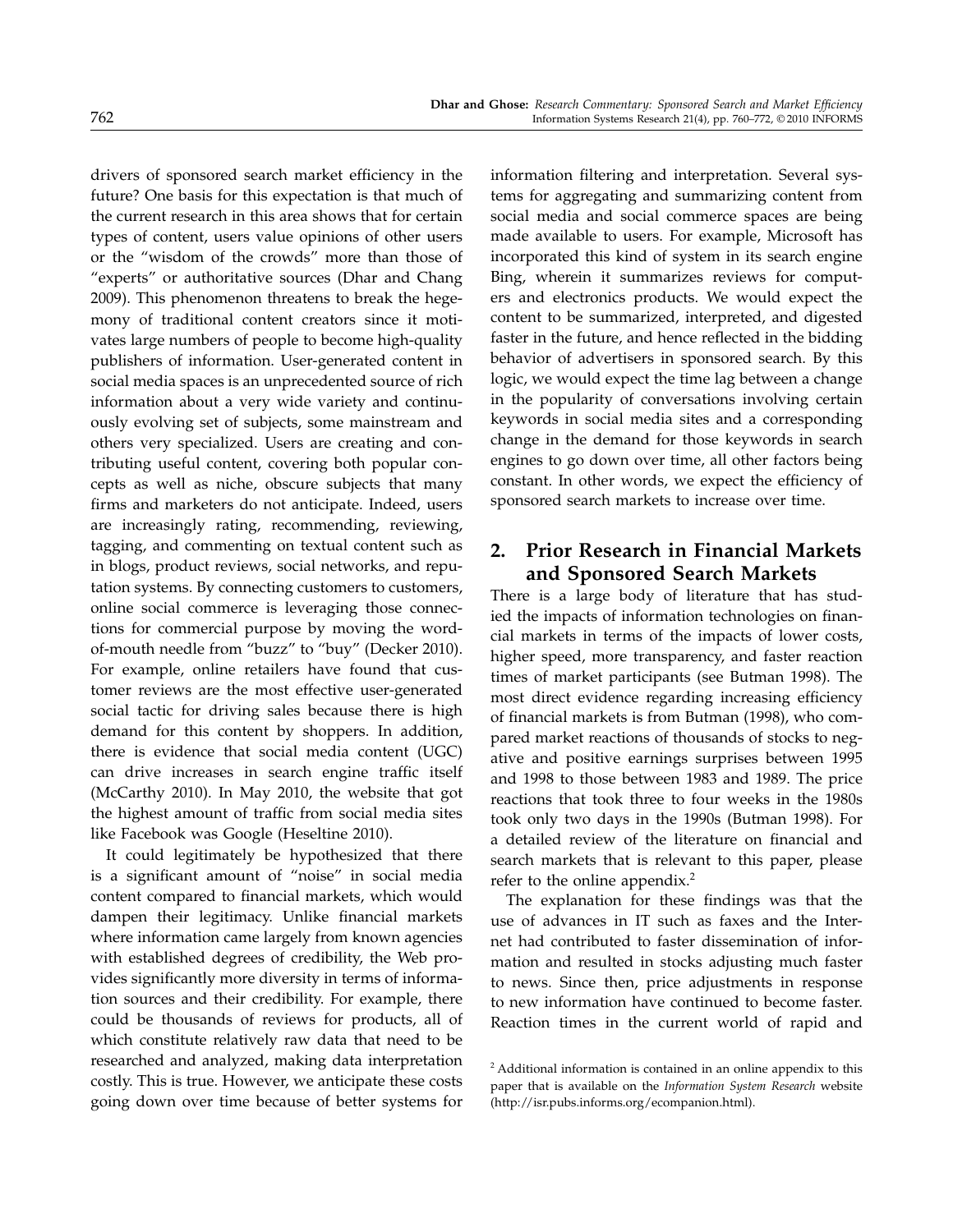drivers of sponsored search market efficiency in the future? One basis for this expectation is that much of the current research in this area shows that for certain types of content, users value opinions of other users or the "wisdom of the crowds" more than those of "experts" or authoritative sources (Dhar and Chang 2009). This phenomenon threatens to break the hegemony of traditional content creators since it motivates large numbers of people to become high-quality publishers of information. User-generated content in social media spaces is an unprecedented source of rich information about a very wide variety and continuously evolving set of subjects, some mainstream and others very specialized. Users are creating and contributing useful content, covering both popular concepts as well as niche, obscure subjects that many firms and marketers do not anticipate. Indeed, users are increasingly rating, recommending, reviewing, tagging, and commenting on textual content such as in blogs, product reviews, social networks, and reputation systems. By connecting customers to customers, online social commerce is leveraging those connections for commercial purpose by moving the wordof-mouth needle from "buzz" to "buy" (Decker 2010). For example, online retailers have found that customer reviews are the most effective user-generated social tactic for driving sales because there is high demand for this content by shoppers. In addition, there is evidence that social media content (UGC) can drive increases in search engine traffic itself (McCarthy 2010). In May 2010, the website that got the highest amount of traffic from social media sites like Facebook was Google (Heseltine 2010).

It could legitimately be hypothesized that there is a significant amount of "noise" in social media content compared to financial markets, which would dampen their legitimacy. Unlike financial markets where information came largely from known agencies with established degrees of credibility, the Web provides significantly more diversity in terms of information sources and their credibility. For example, there could be thousands of reviews for products, all of which constitute relatively raw data that need to be researched and analyzed, making data interpretation costly. This is true. However, we anticipate these costs going down over time because of better systems for

information filtering and interpretation. Several systems for aggregating and summarizing content from social media and social commerce spaces are being made available to users. For example, Microsoft has incorporated this kind of system in its search engine Bing, wherein it summarizes reviews for computers and electronics products. We would expect the content to be summarized, interpreted, and digested faster in the future, and hence reflected in the bidding behavior of advertisers in sponsored search. By this logic, we would expect the time lag between a change in the popularity of conversations involving certain keywords in social media sites and a corresponding change in the demand for those keywords in search engines to go down over time, all other factors being constant. In other words, we expect the efficiency of sponsored search markets to increase over time.

# 2. Prior Research in Financial Markets and Sponsored Search Markets

There is a large body of literature that has studied the impacts of information technologies on financial markets in terms of the impacts of lower costs, higher speed, more transparency, and faster reaction times of market participants (see Butman 1998). The most direct evidence regarding increasing efficiency of financial markets is from Butman (1998), who compared market reactions of thousands of stocks to negative and positive earnings surprises between 1995 and 1998 to those between 1983 and 1989. The price reactions that took three to four weeks in the 1980s took only two days in the 1990s (Butman 1998). For a detailed review of the literature on financial and search markets that is relevant to this paper, please refer to the online appendix.<sup>2</sup>

The explanation for these findings was that the use of advances in IT such as faxes and the Internet had contributed to faster dissemination of information and resulted in stocks adjusting much faster to news. Since then, price adjustments in response to new information have continued to become faster. Reaction times in the current world of rapid and

<sup>2</sup> Additional information is contained in an online appendix to this paper that is available on the Information System Research website (http://isr.pubs.informs.org/ecompanion.html).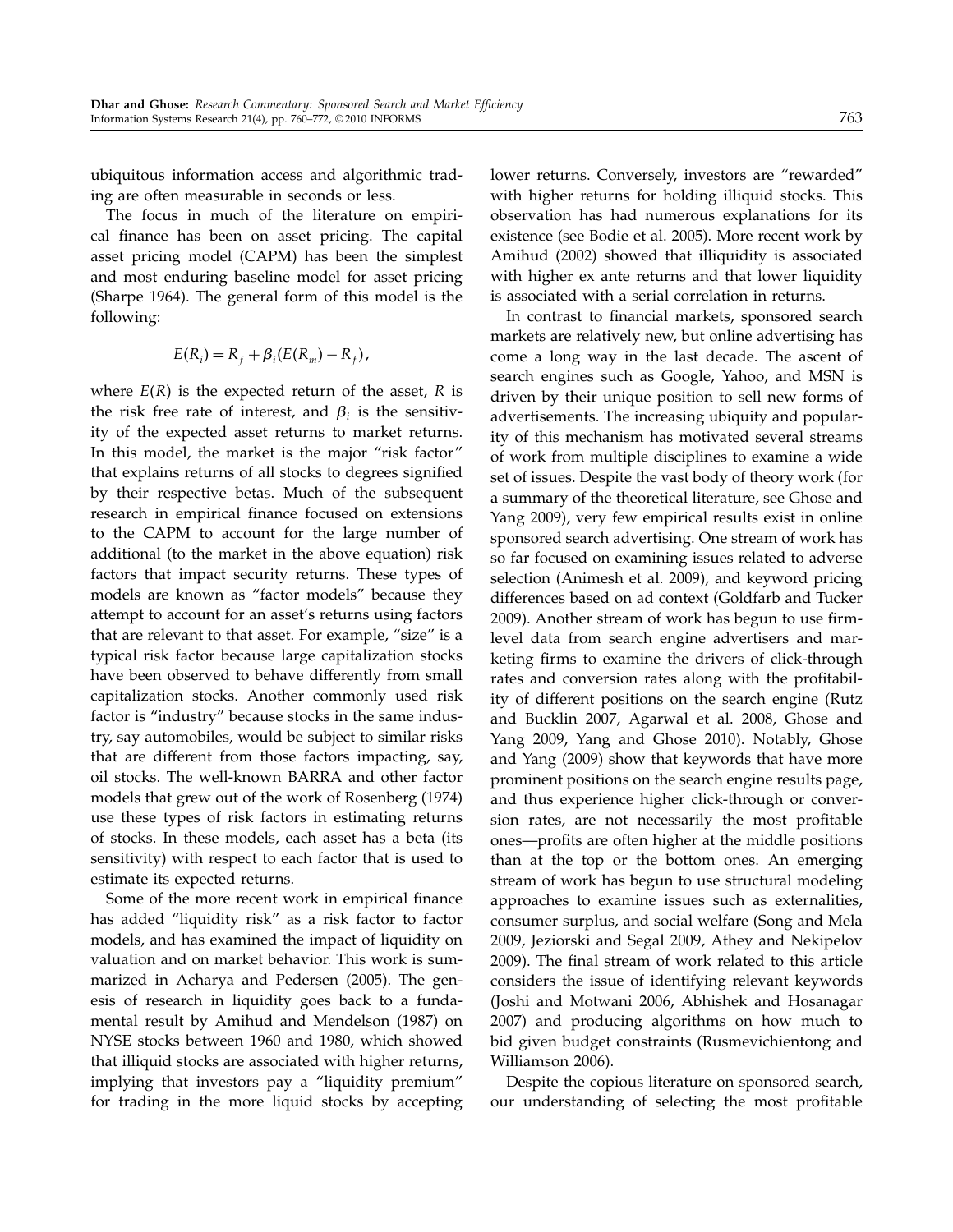ubiquitous information access and algorithmic trading are often measurable in seconds or less.

The focus in much of the literature on empirical finance has been on asset pricing. The capital asset pricing model (CAPM) has been the simplest and most enduring baseline model for asset pricing (Sharpe 1964). The general form of this model is the following:

$$
E(R_i) = R_f + \beta_i (E(R_m) - R_f),
$$

where  $E(R)$  is the expected return of the asset,  $R$  is the risk free rate of interest, and  $\beta_i$  is the sensitivity of the expected asset returns to market returns. In this model, the market is the major "risk factor" that explains returns of all stocks to degrees signified by their respective betas. Much of the subsequent research in empirical finance focused on extensions to the CAPM to account for the large number of additional (to the market in the above equation) risk factors that impact security returns. These types of models are known as "factor models" because they attempt to account for an asset's returns using factors that are relevant to that asset. For example, "size" is a typical risk factor because large capitalization stocks have been observed to behave differently from small capitalization stocks. Another commonly used risk factor is "industry" because stocks in the same industry, say automobiles, would be subject to similar risks that are different from those factors impacting, say, oil stocks. The well-known BARRA and other factor models that grew out of the work of Rosenberg (1974) use these types of risk factors in estimating returns of stocks. In these models, each asset has a beta (its sensitivity) with respect to each factor that is used to estimate its expected returns.

Some of the more recent work in empirical finance has added "liquidity risk" as a risk factor to factor models, and has examined the impact of liquidity on valuation and on market behavior. This work is summarized in Acharya and Pedersen (2005). The genesis of research in liquidity goes back to a fundamental result by Amihud and Mendelson (1987) on NYSE stocks between 1960 and 1980, which showed that illiquid stocks are associated with higher returns, implying that investors pay a "liquidity premium" for trading in the more liquid stocks by accepting lower returns. Conversely, investors are "rewarded" with higher returns for holding illiquid stocks. This observation has had numerous explanations for its existence (see Bodie et al. 2005). More recent work by Amihud (2002) showed that illiquidity is associated with higher ex ante returns and that lower liquidity is associated with a serial correlation in returns.

In contrast to financial markets, sponsored search markets are relatively new, but online advertising has come a long way in the last decade. The ascent of search engines such as Google, Yahoo, and MSN is driven by their unique position to sell new forms of advertisements. The increasing ubiquity and popularity of this mechanism has motivated several streams of work from multiple disciplines to examine a wide set of issues. Despite the vast body of theory work (for a summary of the theoretical literature, see Ghose and Yang 2009), very few empirical results exist in online sponsored search advertising. One stream of work has so far focused on examining issues related to adverse selection (Animesh et al. 2009), and keyword pricing differences based on ad context (Goldfarb and Tucker 2009). Another stream of work has begun to use firmlevel data from search engine advertisers and marketing firms to examine the drivers of click-through rates and conversion rates along with the profitability of different positions on the search engine (Rutz and Bucklin 2007, Agarwal et al. 2008, Ghose and Yang 2009, Yang and Ghose 2010). Notably, Ghose and Yang (2009) show that keywords that have more prominent positions on the search engine results page, and thus experience higher click-through or conversion rates, are not necessarily the most profitable ones—profits are often higher at the middle positions than at the top or the bottom ones. An emerging stream of work has begun to use structural modeling approaches to examine issues such as externalities, consumer surplus, and social welfare (Song and Mela 2009, Jeziorski and Segal 2009, Athey and Nekipelov 2009). The final stream of work related to this article considers the issue of identifying relevant keywords (Joshi and Motwani 2006, Abhishek and Hosanagar 2007) and producing algorithms on how much to bid given budget constraints (Rusmevichientong and Williamson 2006).

Despite the copious literature on sponsored search, our understanding of selecting the most profitable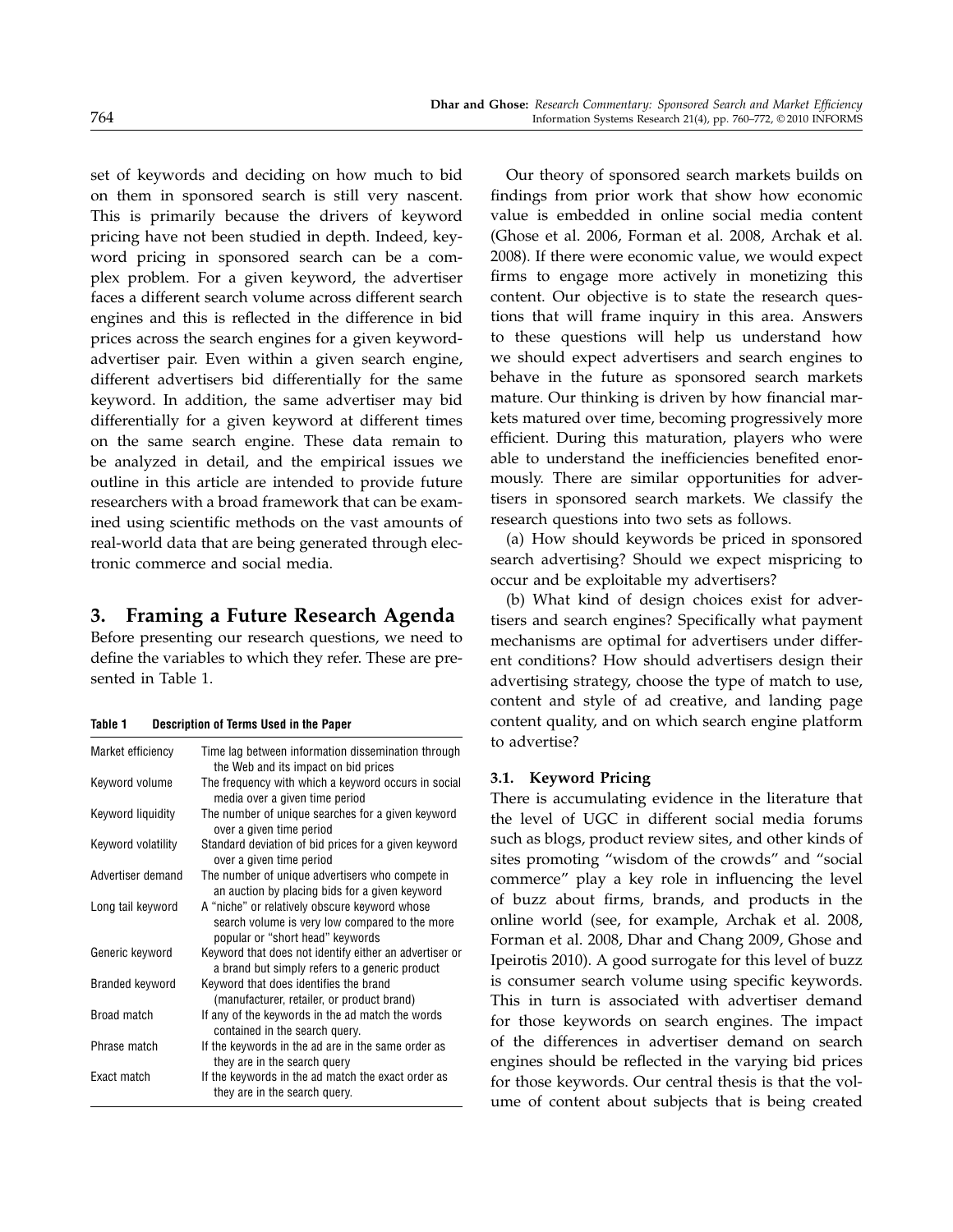set of keywords and deciding on how much to bid on them in sponsored search is still very nascent. This is primarily because the drivers of keyword pricing have not been studied in depth. Indeed, keyword pricing in sponsored search can be a complex problem. For a given keyword, the advertiser faces a different search volume across different search engines and this is reflected in the difference in bid prices across the search engines for a given keywordadvertiser pair. Even within a given search engine, different advertisers bid differentially for the same keyword. In addition, the same advertiser may bid differentially for a given keyword at different times on the same search engine. These data remain to be analyzed in detail, and the empirical issues we outline in this article are intended to provide future researchers with a broad framework that can be examined using scientific methods on the vast amounts of real-world data that are being generated through electronic commerce and social media.

# 3. Framing a Future Research Agenda

Before presenting our research questions, we need to define the variables to which they refer. These are presented in Table 1.

| Description of Terms Used in the Paper | Table 1 |  |  |  |  |
|----------------------------------------|---------|--|--|--|--|
|----------------------------------------|---------|--|--|--|--|

| Market efficiency  | Time lag between information dissemination through<br>the Web and its impact on bid prices                                          |  |  |
|--------------------|-------------------------------------------------------------------------------------------------------------------------------------|--|--|
| Keyword volume     | The frequency with which a keyword occurs in social<br>media over a given time period                                               |  |  |
| Keyword liquidity  | The number of unique searches for a given keyword<br>over a given time period                                                       |  |  |
| Keyword volatility | Standard deviation of bid prices for a given keyword<br>over a given time period                                                    |  |  |
| Advertiser demand  | The number of unique advertisers who compete in<br>an auction by placing bids for a given keyword                                   |  |  |
| Long tail keyword  | A "niche" or relatively obscure keyword whose<br>search volume is very low compared to the more<br>popular or "short head" keywords |  |  |
| Generic keyword    | Keyword that does not identify either an advertiser or<br>a brand but simply refers to a generic product                            |  |  |
| Branded keyword    | Keyword that does identifies the brand<br>(manufacturer, retailer, or product brand)                                                |  |  |
| Broad match        | If any of the keywords in the ad match the words<br>contained in the search query.                                                  |  |  |
| Phrase match       | If the keywords in the ad are in the same order as<br>they are in the search query                                                  |  |  |
| Exact match        | If the keywords in the ad match the exact order as<br>they are in the search query.                                                 |  |  |

Our theory of sponsored search markets builds on findings from prior work that show how economic value is embedded in online social media content (Ghose et al. 2006, Forman et al. 2008, Archak et al. 2008). If there were economic value, we would expect firms to engage more actively in monetizing this content. Our objective is to state the research questions that will frame inquiry in this area. Answers to these questions will help us understand how we should expect advertisers and search engines to behave in the future as sponsored search markets mature. Our thinking is driven by how financial markets matured over time, becoming progressively more efficient. During this maturation, players who were able to understand the inefficiencies benefited enormously. There are similar opportunities for advertisers in sponsored search markets. We classify the research questions into two sets as follows.

(a) How should keywords be priced in sponsored search advertising? Should we expect mispricing to occur and be exploitable my advertisers?

(b) What kind of design choices exist for advertisers and search engines? Specifically what payment mechanisms are optimal for advertisers under different conditions? How should advertisers design their advertising strategy, choose the type of match to use, content and style of ad creative, and landing page content quality, and on which search engine platform to advertise?

#### 3.1. Keyword Pricing

There is accumulating evidence in the literature that the level of UGC in different social media forums such as blogs, product review sites, and other kinds of sites promoting "wisdom of the crowds" and "social commerce" play a key role in influencing the level of buzz about firms, brands, and products in the online world (see, for example, Archak et al. 2008, Forman et al. 2008, Dhar and Chang 2009, Ghose and Ipeirotis 2010). A good surrogate for this level of buzz is consumer search volume using specific keywords. This in turn is associated with advertiser demand for those keywords on search engines. The impact of the differences in advertiser demand on search engines should be reflected in the varying bid prices for those keywords. Our central thesis is that the volume of content about subjects that is being created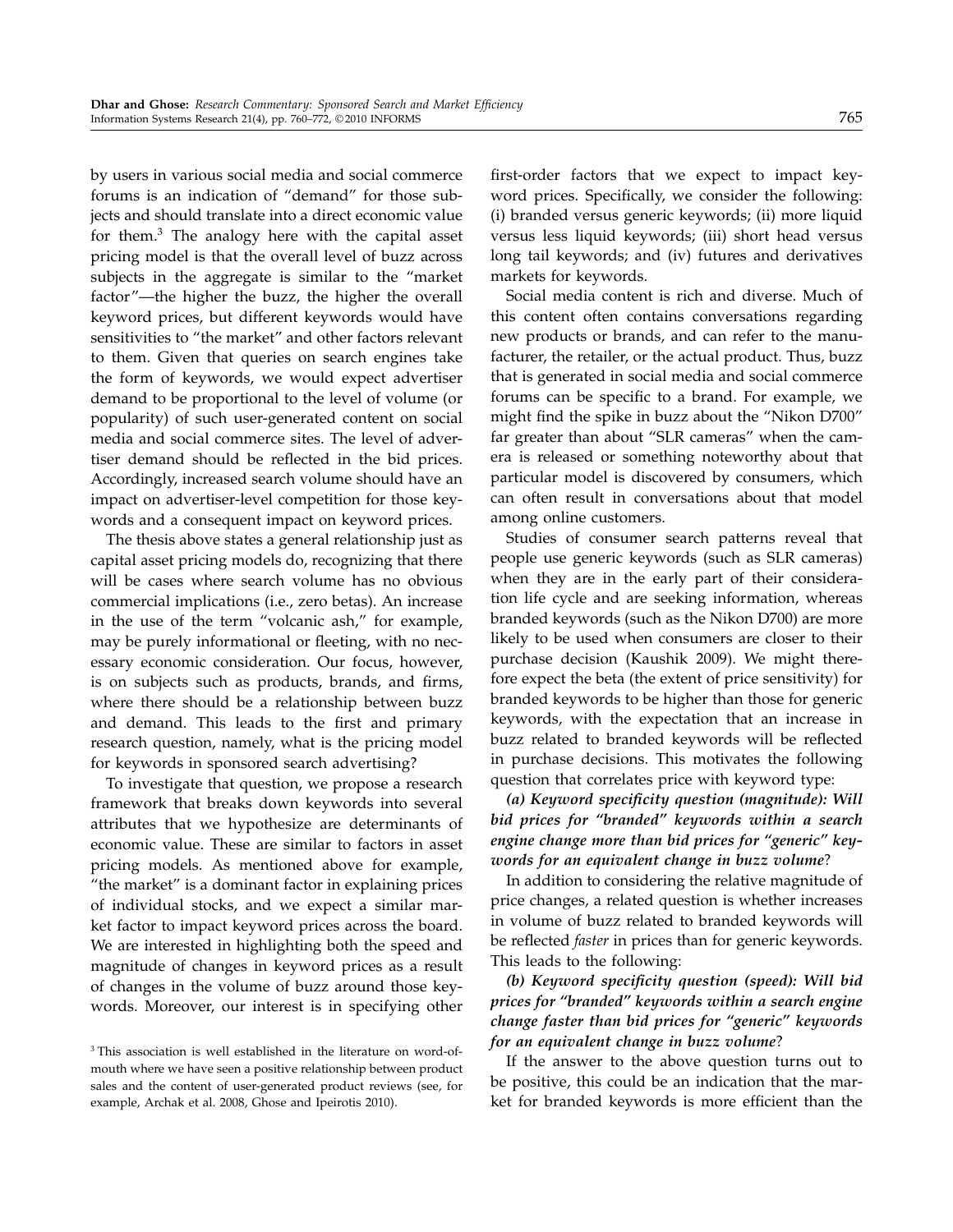by users in various social media and social commerce forums is an indication of "demand" for those subjects and should translate into a direct economic value for them.<sup>3</sup> The analogy here with the capital asset pricing model is that the overall level of buzz across subjects in the aggregate is similar to the "market factor"—the higher the buzz, the higher the overall keyword prices, but different keywords would have sensitivities to "the market" and other factors relevant to them. Given that queries on search engines take the form of keywords, we would expect advertiser demand to be proportional to the level of volume (or popularity) of such user-generated content on social media and social commerce sites. The level of advertiser demand should be reflected in the bid prices. Accordingly, increased search volume should have an impact on advertiser-level competition for those keywords and a consequent impact on keyword prices.

The thesis above states a general relationship just as capital asset pricing models do, recognizing that there will be cases where search volume has no obvious commercial implications (i.e., zero betas). An increase in the use of the term "volcanic ash," for example, may be purely informational or fleeting, with no necessary economic consideration. Our focus, however, is on subjects such as products, brands, and firms, where there should be a relationship between buzz and demand. This leads to the first and primary research question, namely, what is the pricing model for keywords in sponsored search advertising?

To investigate that question, we propose a research framework that breaks down keywords into several attributes that we hypothesize are determinants of economic value. These are similar to factors in asset pricing models. As mentioned above for example, "the market" is a dominant factor in explaining prices of individual stocks, and we expect a similar market factor to impact keyword prices across the board. We are interested in highlighting both the speed and magnitude of changes in keyword prices as a result of changes in the volume of buzz around those keywords. Moreover, our interest is in specifying other

first-order factors that we expect to impact keyword prices. Specifically, we consider the following: (i) branded versus generic keywords; (ii) more liquid versus less liquid keywords; (iii) short head versus long tail keywords; and (iv) futures and derivatives markets for keywords.

Social media content is rich and diverse. Much of this content often contains conversations regarding new products or brands, and can refer to the manufacturer, the retailer, or the actual product. Thus, buzz that is generated in social media and social commerce forums can be specific to a brand. For example, we might find the spike in buzz about the "Nikon D700" far greater than about "SLR cameras" when the camera is released or something noteworthy about that particular model is discovered by consumers, which can often result in conversations about that model among online customers.

Studies of consumer search patterns reveal that people use generic keywords (such as SLR cameras) when they are in the early part of their consideration life cycle and are seeking information, whereas branded keywords (such as the Nikon D700) are more likely to be used when consumers are closer to their purchase decision (Kaushik 2009). We might therefore expect the beta (the extent of price sensitivity) for branded keywords to be higher than those for generic keywords, with the expectation that an increase in buzz related to branded keywords will be reflected in purchase decisions. This motivates the following question that correlates price with keyword type:

(a) Keyword specificity question (magnitude): Will bid prices for "branded" keywords within a search engine change more than bid prices for "generic" keywords for an equivalent change in buzz volume?

In addition to considering the relative magnitude of price changes, a related question is whether increases in volume of buzz related to branded keywords will be reflected faster in prices than for generic keywords. This leads to the following:

(b) Keyword specificity question (speed): Will bid prices for "branded" keywords within a search engine change faster than bid prices for "generic" keywords for an equivalent change in buzz volume?

If the answer to the above question turns out to be positive, this could be an indication that the market for branded keywords is more efficient than the

<sup>&</sup>lt;sup>3</sup> This association is well established in the literature on word-ofmouth where we have seen a positive relationship between product sales and the content of user-generated product reviews (see, for example, Archak et al. 2008, Ghose and Ipeirotis 2010).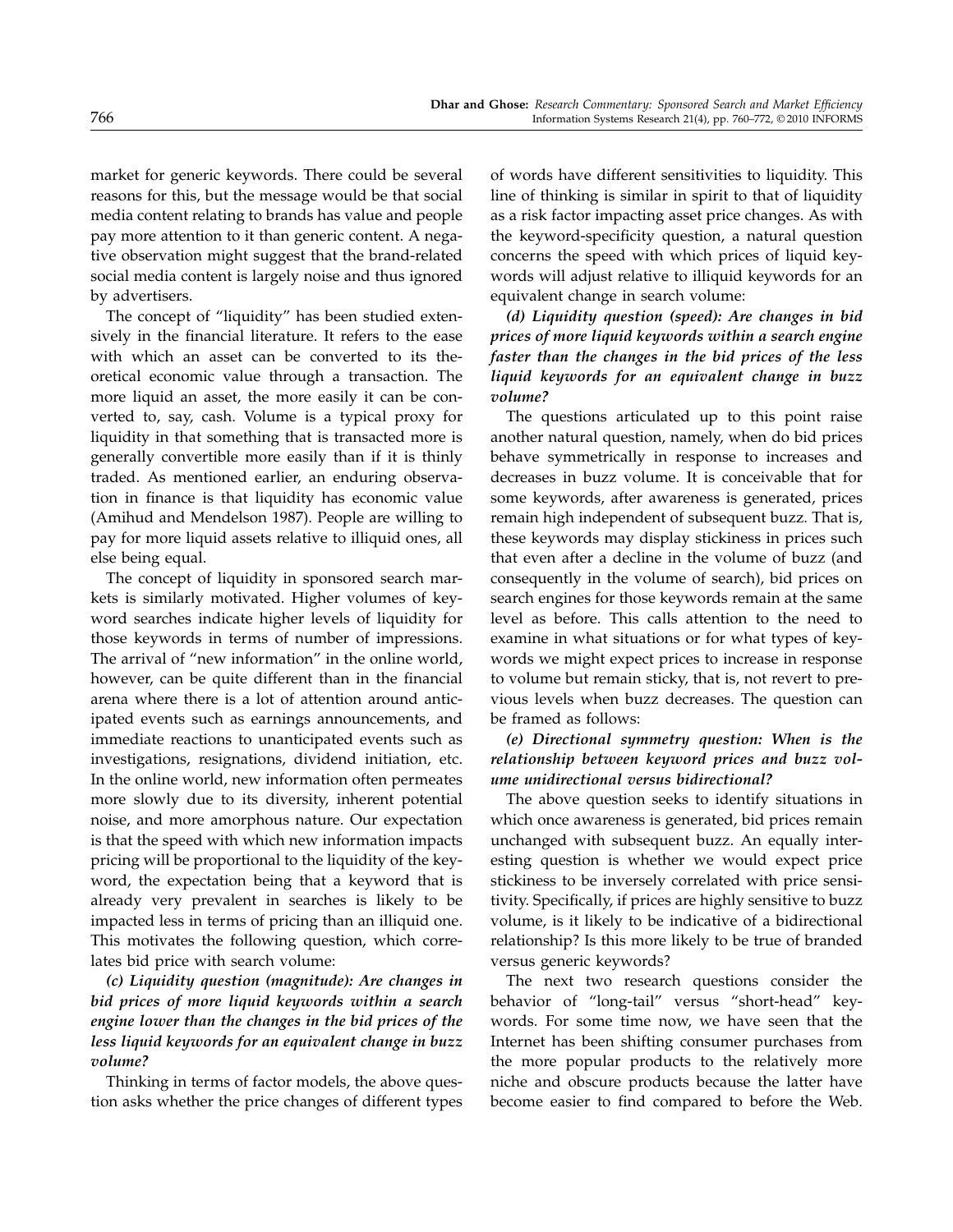market for generic keywords. There could be several reasons for this, but the message would be that social media content relating to brands has value and people pay more attention to it than generic content. A negative observation might suggest that the brand-related social media content is largely noise and thus ignored by advertisers.

The concept of "liquidity" has been studied extensively in the financial literature. It refers to the ease with which an asset can be converted to its theoretical economic value through a transaction. The more liquid an asset, the more easily it can be converted to, say, cash. Volume is a typical proxy for liquidity in that something that is transacted more is generally convertible more easily than if it is thinly traded. As mentioned earlier, an enduring observation in finance is that liquidity has economic value (Amihud and Mendelson 1987). People are willing to pay for more liquid assets relative to illiquid ones, all else being equal.

The concept of liquidity in sponsored search markets is similarly motivated. Higher volumes of keyword searches indicate higher levels of liquidity for those keywords in terms of number of impressions. The arrival of "new information" in the online world, however, can be quite different than in the financial arena where there is a lot of attention around anticipated events such as earnings announcements, and immediate reactions to unanticipated events such as investigations, resignations, dividend initiation, etc. In the online world, new information often permeates more slowly due to its diversity, inherent potential noise, and more amorphous nature. Our expectation is that the speed with which new information impacts pricing will be proportional to the liquidity of the keyword, the expectation being that a keyword that is already very prevalent in searches is likely to be impacted less in terms of pricing than an illiquid one. This motivates the following question, which correlates bid price with search volume:

(c) Liquidity question (magnitude): Are changes in bid prices of more liquid keywords within a search engine lower than the changes in the bid prices of the less liquid keywords for an equivalent change in buzz volume?

Thinking in terms of factor models, the above question asks whether the price changes of different types of words have different sensitivities to liquidity. This line of thinking is similar in spirit to that of liquidity as a risk factor impacting asset price changes. As with the keyword-specificity question, a natural question concerns the speed with which prices of liquid keywords will adjust relative to illiquid keywords for an equivalent change in search volume:

(d) Liquidity question (speed): Are changes in bid prices of more liquid keywords within a search engine faster than the changes in the bid prices of the less liquid keywords for an equivalent change in buzz volume?

The questions articulated up to this point raise another natural question, namely, when do bid prices behave symmetrically in response to increases and decreases in buzz volume. It is conceivable that for some keywords, after awareness is generated, prices remain high independent of subsequent buzz. That is, these keywords may display stickiness in prices such that even after a decline in the volume of buzz (and consequently in the volume of search), bid prices on search engines for those keywords remain at the same level as before. This calls attention to the need to examine in what situations or for what types of keywords we might expect prices to increase in response to volume but remain sticky, that is, not revert to previous levels when buzz decreases. The question can be framed as follows:

## (e) Directional symmetry question: When is the relationship between keyword prices and buzz volume unidirectional versus bidirectional?

The above question seeks to identify situations in which once awareness is generated, bid prices remain unchanged with subsequent buzz. An equally interesting question is whether we would expect price stickiness to be inversely correlated with price sensitivity. Specifically, if prices are highly sensitive to buzz volume, is it likely to be indicative of a bidirectional relationship? Is this more likely to be true of branded versus generic keywords?

The next two research questions consider the behavior of "long-tail" versus "short-head" keywords. For some time now, we have seen that the Internet has been shifting consumer purchases from the more popular products to the relatively more niche and obscure products because the latter have become easier to find compared to before the Web.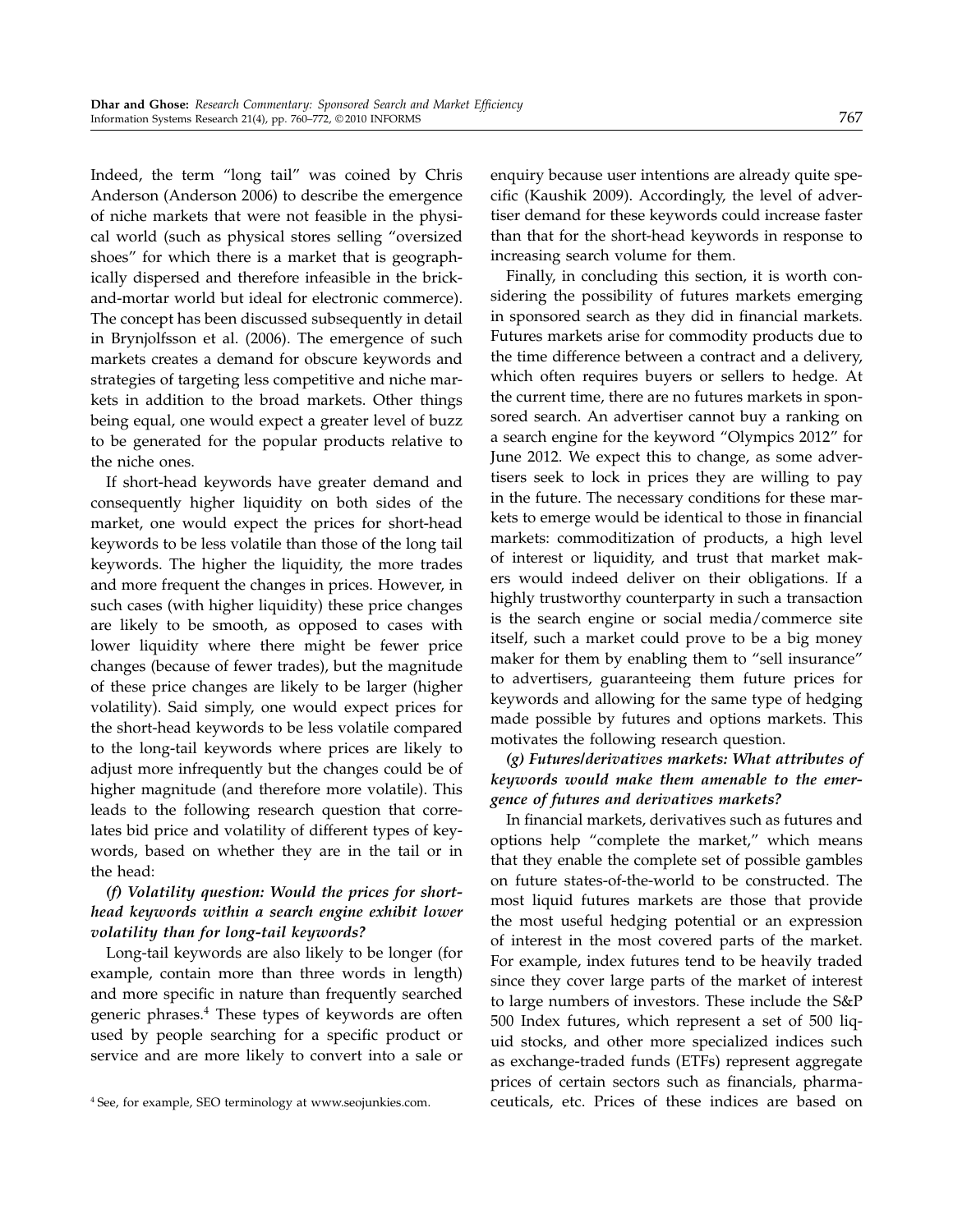Indeed, the term "long tail" was coined by Chris Anderson (Anderson 2006) to describe the emergence of niche markets that were not feasible in the physical world (such as physical stores selling "oversized shoes" for which there is a market that is geographically dispersed and therefore infeasible in the brickand-mortar world but ideal for electronic commerce). The concept has been discussed subsequently in detail in Brynjolfsson et al. (2006). The emergence of such markets creates a demand for obscure keywords and strategies of targeting less competitive and niche markets in addition to the broad markets. Other things being equal, one would expect a greater level of buzz to be generated for the popular products relative to the niche ones.

If short-head keywords have greater demand and consequently higher liquidity on both sides of the market, one would expect the prices for short-head keywords to be less volatile than those of the long tail keywords. The higher the liquidity, the more trades and more frequent the changes in prices. However, in such cases (with higher liquidity) these price changes are likely to be smooth, as opposed to cases with lower liquidity where there might be fewer price changes (because of fewer trades), but the magnitude of these price changes are likely to be larger (higher volatility). Said simply, one would expect prices for the short-head keywords to be less volatile compared to the long-tail keywords where prices are likely to adjust more infrequently but the changes could be of higher magnitude (and therefore more volatile). This leads to the following research question that correlates bid price and volatility of different types of keywords, based on whether they are in the tail or in the head:

## (f) Volatility question: Would the prices for shorthead keywords within a search engine exhibit lower volatility than for long-tail keywords?

Long-tail keywords are also likely to be longer (for example, contain more than three words in length) and more specific in nature than frequently searched generic phrases.<sup>4</sup> These types of keywords are often used by people searching for a specific product or service and are more likely to convert into a sale or

enquiry because user intentions are already quite specific (Kaushik 2009). Accordingly, the level of advertiser demand for these keywords could increase faster than that for the short-head keywords in response to increasing search volume for them.

Finally, in concluding this section, it is worth considering the possibility of futures markets emerging in sponsored search as they did in financial markets. Futures markets arise for commodity products due to the time difference between a contract and a delivery, which often requires buyers or sellers to hedge. At the current time, there are no futures markets in sponsored search. An advertiser cannot buy a ranking on a search engine for the keyword "Olympics 2012" for June 2012. We expect this to change, as some advertisers seek to lock in prices they are willing to pay in the future. The necessary conditions for these markets to emerge would be identical to those in financial markets: commoditization of products, a high level of interest or liquidity, and trust that market makers would indeed deliver on their obligations. If a highly trustworthy counterparty in such a transaction is the search engine or social media/commerce site itself, such a market could prove to be a big money maker for them by enabling them to "sell insurance" to advertisers, guaranteeing them future prices for keywords and allowing for the same type of hedging made possible by futures and options markets. This motivates the following research question.

## (g) Futures/derivatives markets: What attributes of keywords would make them amenable to the emergence of futures and derivatives markets?

In financial markets, derivatives such as futures and options help "complete the market," which means that they enable the complete set of possible gambles on future states-of-the-world to be constructed. The most liquid futures markets are those that provide the most useful hedging potential or an expression of interest in the most covered parts of the market. For example, index futures tend to be heavily traded since they cover large parts of the market of interest to large numbers of investors. These include the S&P 500 Index futures, which represent a set of 500 liquid stocks, and other more specialized indices such as exchange-traded funds (ETFs) represent aggregate prices of certain sectors such as financials, pharmaceuticals, etc. Prices of these indices are based on

<sup>4</sup> See, for example, SEO terminology at www.seojunkies.com.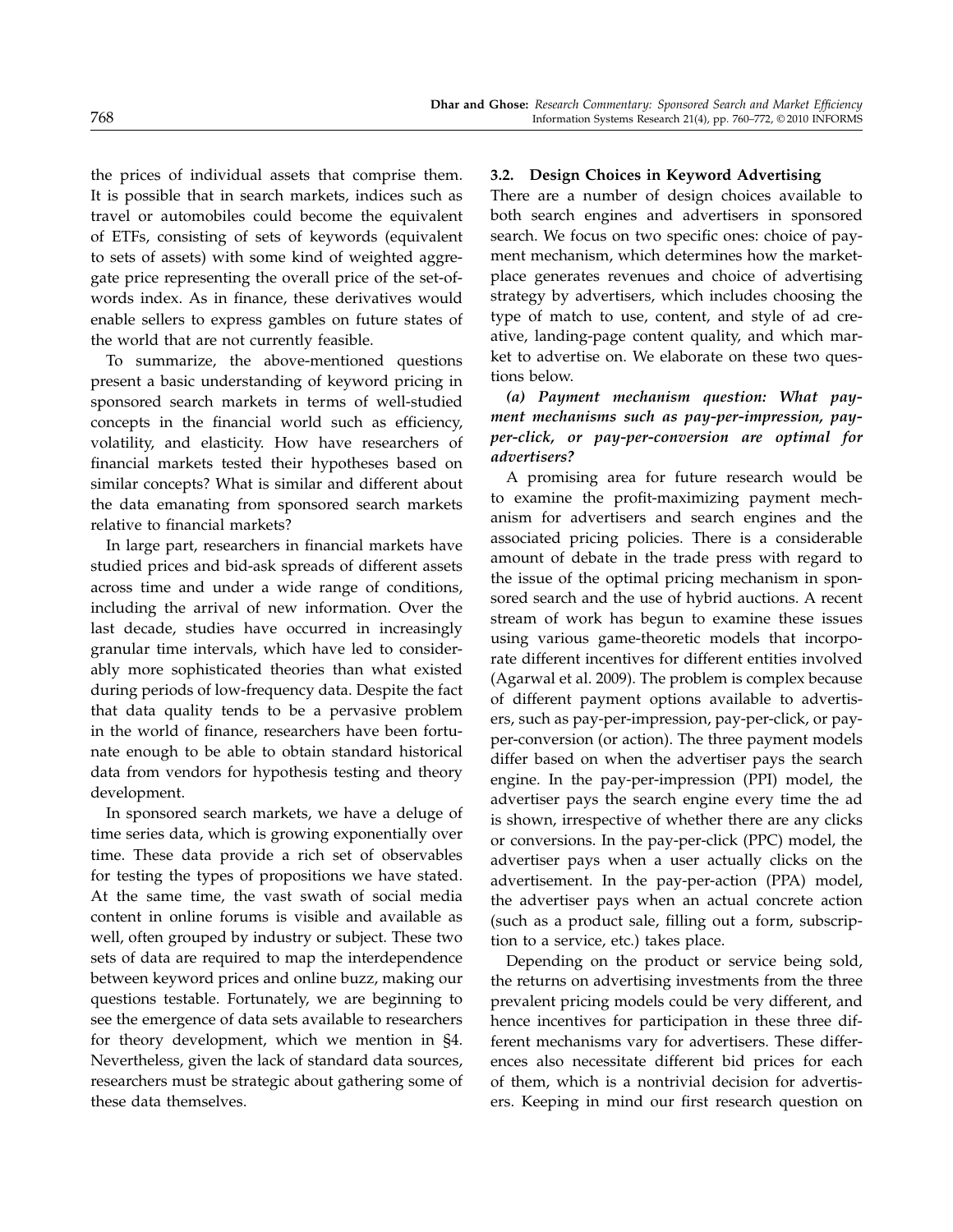the prices of individual assets that comprise them. It is possible that in search markets, indices such as travel or automobiles could become the equivalent of ETFs, consisting of sets of keywords (equivalent to sets of assets) with some kind of weighted aggregate price representing the overall price of the set-ofwords index. As in finance, these derivatives would enable sellers to express gambles on future states of the world that are not currently feasible.

To summarize, the above-mentioned questions present a basic understanding of keyword pricing in sponsored search markets in terms of well-studied concepts in the financial world such as efficiency, volatility, and elasticity. How have researchers of financial markets tested their hypotheses based on similar concepts? What is similar and different about the data emanating from sponsored search markets relative to financial markets?

In large part, researchers in financial markets have studied prices and bid-ask spreads of different assets across time and under a wide range of conditions, including the arrival of new information. Over the last decade, studies have occurred in increasingly granular time intervals, which have led to considerably more sophisticated theories than what existed during periods of low-frequency data. Despite the fact that data quality tends to be a pervasive problem in the world of finance, researchers have been fortunate enough to be able to obtain standard historical data from vendors for hypothesis testing and theory development.

In sponsored search markets, we have a deluge of time series data, which is growing exponentially over time. These data provide a rich set of observables for testing the types of propositions we have stated. At the same time, the vast swath of social media content in online forums is visible and available as well, often grouped by industry or subject. These two sets of data are required to map the interdependence between keyword prices and online buzz, making our questions testable. Fortunately, we are beginning to see the emergence of data sets available to researchers for theory development, which we mention in §4. Nevertheless, given the lack of standard data sources, researchers must be strategic about gathering some of these data themselves.

#### 3.2. Design Choices in Keyword Advertising

There are a number of design choices available to both search engines and advertisers in sponsored search. We focus on two specific ones: choice of payment mechanism, which determines how the marketplace generates revenues and choice of advertising strategy by advertisers, which includes choosing the type of match to use, content, and style of ad creative, landing-page content quality, and which market to advertise on. We elaborate on these two questions below.

## (a) Payment mechanism question: What payment mechanisms such as pay-per-impression, payper-click, or pay-per-conversion are optimal for advertisers?

A promising area for future research would be to examine the profit-maximizing payment mechanism for advertisers and search engines and the associated pricing policies. There is a considerable amount of debate in the trade press with regard to the issue of the optimal pricing mechanism in sponsored search and the use of hybrid auctions. A recent stream of work has begun to examine these issues using various game-theoretic models that incorporate different incentives for different entities involved (Agarwal et al. 2009). The problem is complex because of different payment options available to advertisers, such as pay-per-impression, pay-per-click, or payper-conversion (or action). The three payment models differ based on when the advertiser pays the search engine. In the pay-per-impression (PPI) model, the advertiser pays the search engine every time the ad is shown, irrespective of whether there are any clicks or conversions. In the pay-per-click (PPC) model, the advertiser pays when a user actually clicks on the advertisement. In the pay-per-action (PPA) model, the advertiser pays when an actual concrete action (such as a product sale, filling out a form, subscription to a service, etc.) takes place.

Depending on the product or service being sold, the returns on advertising investments from the three prevalent pricing models could be very different, and hence incentives for participation in these three different mechanisms vary for advertisers. These differences also necessitate different bid prices for each of them, which is a nontrivial decision for advertisers. Keeping in mind our first research question on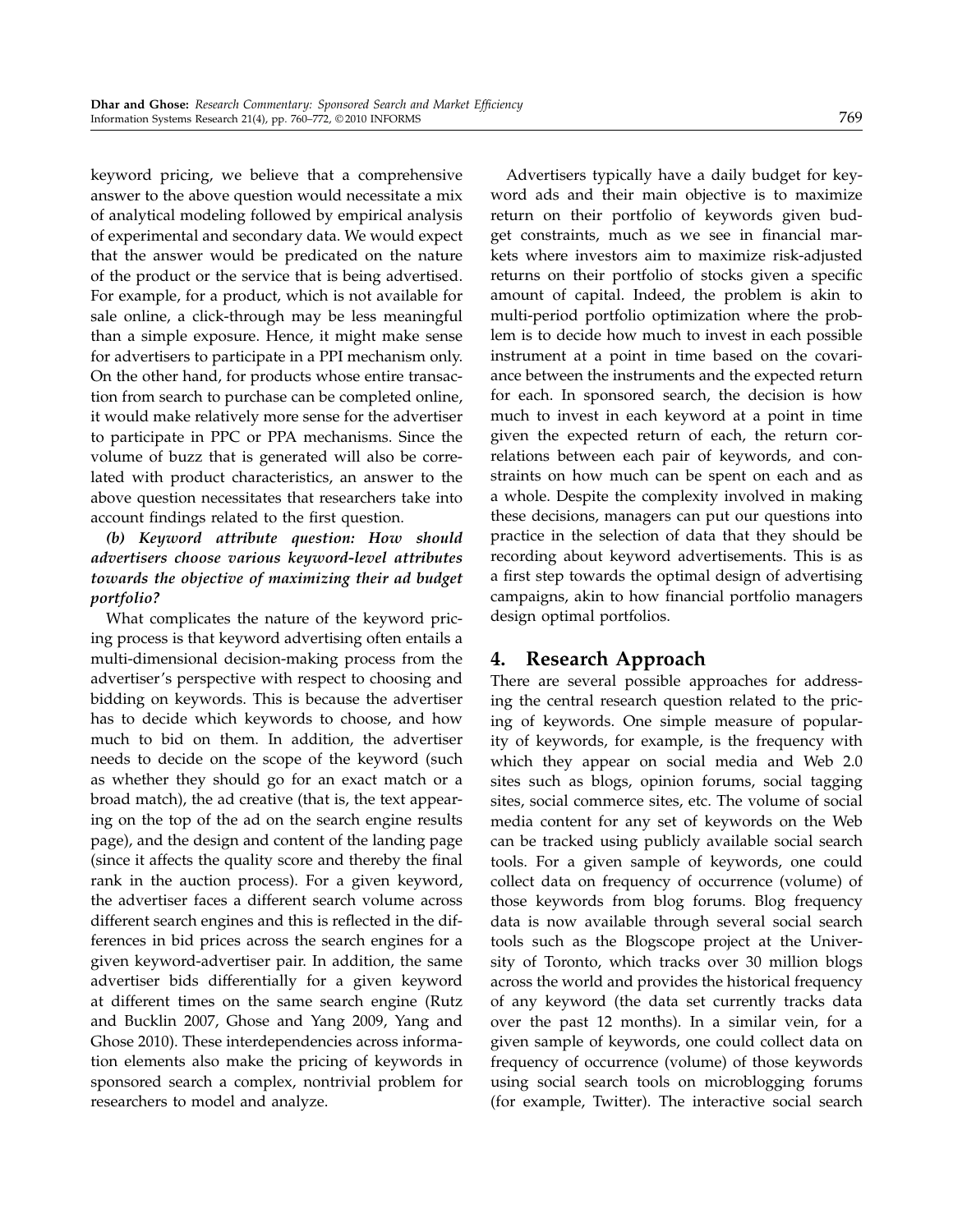keyword pricing, we believe that a comprehensive answer to the above question would necessitate a mix of analytical modeling followed by empirical analysis of experimental and secondary data. We would expect that the answer would be predicated on the nature of the product or the service that is being advertised. For example, for a product, which is not available for sale online, a click-through may be less meaningful than a simple exposure. Hence, it might make sense for advertisers to participate in a PPI mechanism only. On the other hand, for products whose entire transaction from search to purchase can be completed online, it would make relatively more sense for the advertiser to participate in PPC or PPA mechanisms. Since the volume of buzz that is generated will also be correlated with product characteristics, an answer to the above question necessitates that researchers take into account findings related to the first question.

## (b) Keyword attribute question: How should advertisers choose various keyword-level attributes towards the objective of maximizing their ad budget portfolio?

What complicates the nature of the keyword pricing process is that keyword advertising often entails a multi-dimensional decision-making process from the advertiser's perspective with respect to choosing and bidding on keywords. This is because the advertiser has to decide which keywords to choose, and how much to bid on them. In addition, the advertiser needs to decide on the scope of the keyword (such as whether they should go for an exact match or a broad match), the ad creative (that is, the text appearing on the top of the ad on the search engine results page), and the design and content of the landing page (since it affects the quality score and thereby the final rank in the auction process). For a given keyword, the advertiser faces a different search volume across different search engines and this is reflected in the differences in bid prices across the search engines for a given keyword-advertiser pair. In addition, the same advertiser bids differentially for a given keyword at different times on the same search engine (Rutz and Bucklin 2007, Ghose and Yang 2009, Yang and Ghose 2010). These interdependencies across information elements also make the pricing of keywords in sponsored search a complex, nontrivial problem for researchers to model and analyze.

Advertisers typically have a daily budget for keyword ads and their main objective is to maximize return on their portfolio of keywords given budget constraints, much as we see in financial markets where investors aim to maximize risk-adjusted returns on their portfolio of stocks given a specific amount of capital. Indeed, the problem is akin to multi-period portfolio optimization where the problem is to decide how much to invest in each possible instrument at a point in time based on the covariance between the instruments and the expected return for each. In sponsored search, the decision is how much to invest in each keyword at a point in time given the expected return of each, the return correlations between each pair of keywords, and constraints on how much can be spent on each and as a whole. Despite the complexity involved in making these decisions, managers can put our questions into practice in the selection of data that they should be recording about keyword advertisements. This is as a first step towards the optimal design of advertising campaigns, akin to how financial portfolio managers design optimal portfolios.

# 4. Research Approach

There are several possible approaches for addressing the central research question related to the pricing of keywords. One simple measure of popularity of keywords, for example, is the frequency with which they appear on social media and Web 2.0 sites such as blogs, opinion forums, social tagging sites, social commerce sites, etc. The volume of social media content for any set of keywords on the Web can be tracked using publicly available social search tools. For a given sample of keywords, one could collect data on frequency of occurrence (volume) of those keywords from blog forums. Blog frequency data is now available through several social search tools such as the Blogscope project at the University of Toronto, which tracks over 30 million blogs across the world and provides the historical frequency of any keyword (the data set currently tracks data over the past 12 months). In a similar vein, for a given sample of keywords, one could collect data on frequency of occurrence (volume) of those keywords using social search tools on microblogging forums (for example, Twitter). The interactive social search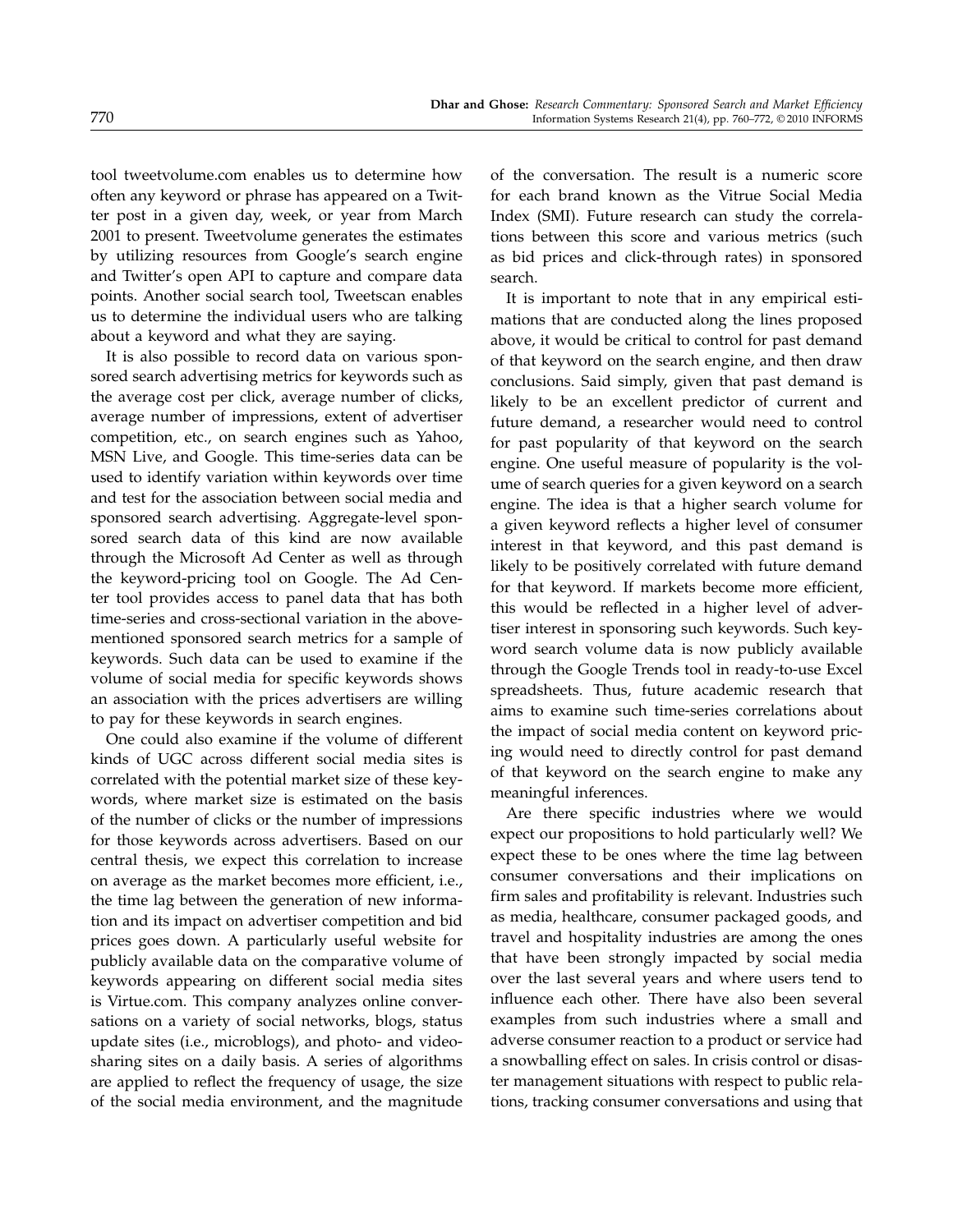tool tweetvolume.com enables us to determine how often any keyword or phrase has appeared on a Twitter post in a given day, week, or year from March 2001 to present. Tweetvolume generates the estimates by utilizing resources from Google's search engine and Twitter's open API to capture and compare data points. Another social search tool, Tweetscan enables us to determine the individual users who are talking about a keyword and what they are saying.

It is also possible to record data on various sponsored search advertising metrics for keywords such as the average cost per click, average number of clicks, average number of impressions, extent of advertiser competition, etc., on search engines such as Yahoo, MSN Live, and Google. This time-series data can be used to identify variation within keywords over time and test for the association between social media and sponsored search advertising. Aggregate-level sponsored search data of this kind are now available through the Microsoft Ad Center as well as through the keyword-pricing tool on Google. The Ad Center tool provides access to panel data that has both time-series and cross-sectional variation in the abovementioned sponsored search metrics for a sample of keywords. Such data can be used to examine if the volume of social media for specific keywords shows an association with the prices advertisers are willing to pay for these keywords in search engines.

One could also examine if the volume of different kinds of UGC across different social media sites is correlated with the potential market size of these keywords, where market size is estimated on the basis of the number of clicks or the number of impressions for those keywords across advertisers. Based on our central thesis, we expect this correlation to increase on average as the market becomes more efficient, i.e., the time lag between the generation of new information and its impact on advertiser competition and bid prices goes down. A particularly useful website for publicly available data on the comparative volume of keywords appearing on different social media sites is Virtue.com. This company analyzes online conversations on a variety of social networks, blogs, status update sites (i.e., microblogs), and photo- and videosharing sites on a daily basis. A series of algorithms are applied to reflect the frequency of usage, the size of the social media environment, and the magnitude

of the conversation. The result is a numeric score for each brand known as the Vitrue Social Media Index (SMI). Future research can study the correlations between this score and various metrics (such as bid prices and click-through rates) in sponsored search.

It is important to note that in any empirical estimations that are conducted along the lines proposed above, it would be critical to control for past demand of that keyword on the search engine, and then draw conclusions. Said simply, given that past demand is likely to be an excellent predictor of current and future demand, a researcher would need to control for past popularity of that keyword on the search engine. One useful measure of popularity is the volume of search queries for a given keyword on a search engine. The idea is that a higher search volume for a given keyword reflects a higher level of consumer interest in that keyword, and this past demand is likely to be positively correlated with future demand for that keyword. If markets become more efficient, this would be reflected in a higher level of advertiser interest in sponsoring such keywords. Such keyword search volume data is now publicly available through the Google Trends tool in ready-to-use Excel spreadsheets. Thus, future academic research that aims to examine such time-series correlations about the impact of social media content on keyword pricing would need to directly control for past demand of that keyword on the search engine to make any meaningful inferences.

Are there specific industries where we would expect our propositions to hold particularly well? We expect these to be ones where the time lag between consumer conversations and their implications on firm sales and profitability is relevant. Industries such as media, healthcare, consumer packaged goods, and travel and hospitality industries are among the ones that have been strongly impacted by social media over the last several years and where users tend to influence each other. There have also been several examples from such industries where a small and adverse consumer reaction to a product or service had a snowballing effect on sales. In crisis control or disaster management situations with respect to public relations, tracking consumer conversations and using that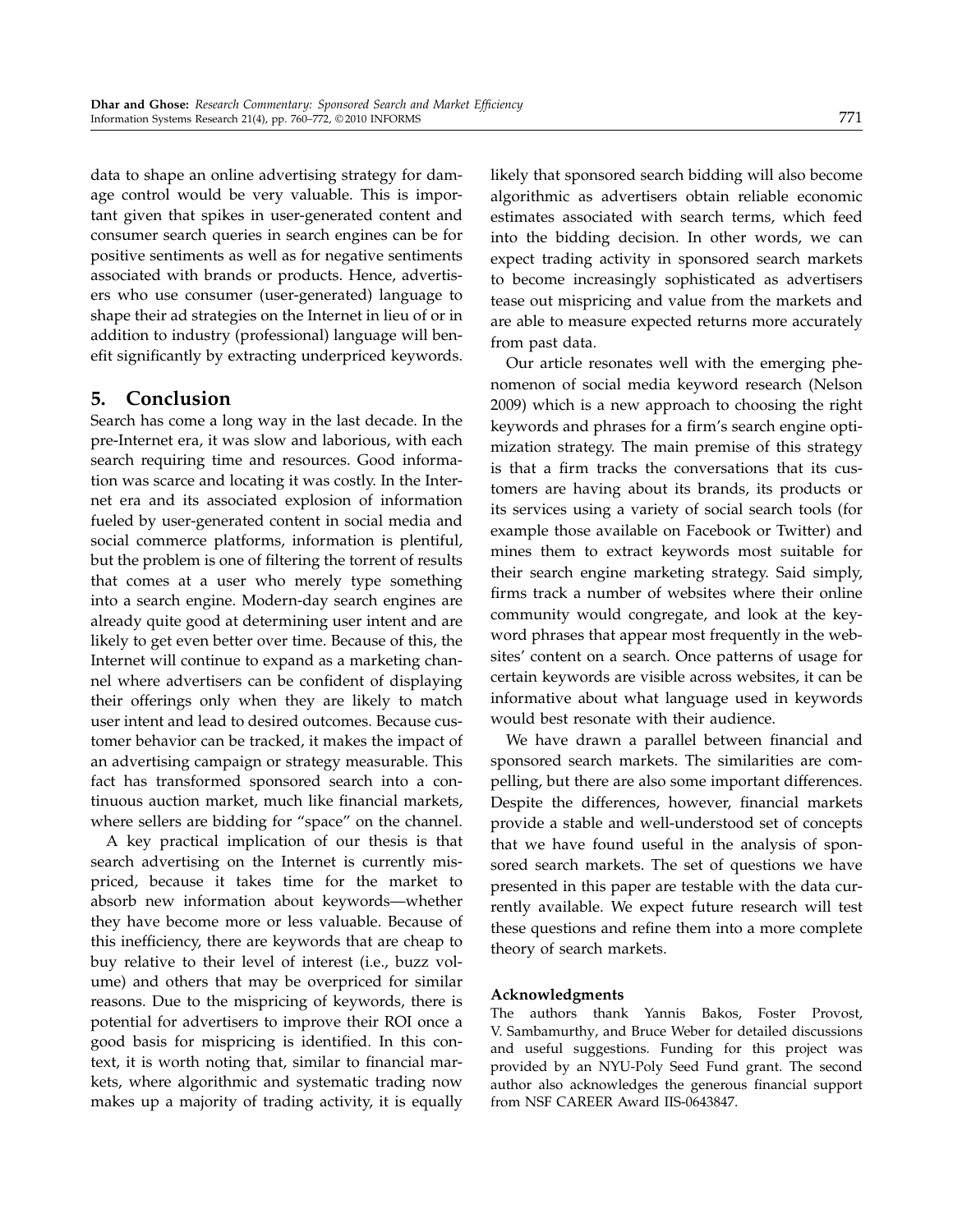data to shape an online advertising strategy for damage control would be very valuable. This is important given that spikes in user-generated content and consumer search queries in search engines can be for positive sentiments as well as for negative sentiments associated with brands or products. Hence, advertisers who use consumer (user-generated) language to shape their ad strategies on the Internet in lieu of or in addition to industry (professional) language will benefit significantly by extracting underpriced keywords.

## 5. Conclusion

Search has come a long way in the last decade. In the pre-Internet era, it was slow and laborious, with each search requiring time and resources. Good information was scarce and locating it was costly. In the Internet era and its associated explosion of information fueled by user-generated content in social media and social commerce platforms, information is plentiful, but the problem is one of filtering the torrent of results that comes at a user who merely type something into a search engine. Modern-day search engines are already quite good at determining user intent and are likely to get even better over time. Because of this, the Internet will continue to expand as a marketing channel where advertisers can be confident of displaying their offerings only when they are likely to match user intent and lead to desired outcomes. Because customer behavior can be tracked, it makes the impact of an advertising campaign or strategy measurable. This fact has transformed sponsored search into a continuous auction market, much like financial markets, where sellers are bidding for "space" on the channel.

A key practical implication of our thesis is that search advertising on the Internet is currently mispriced, because it takes time for the market to absorb new information about keywords—whether they have become more or less valuable. Because of this inefficiency, there are keywords that are cheap to buy relative to their level of interest (i.e., buzz volume) and others that may be overpriced for similar reasons. Due to the mispricing of keywords, there is potential for advertisers to improve their ROI once a good basis for mispricing is identified. In this context, it is worth noting that, similar to financial markets, where algorithmic and systematic trading now makes up a majority of trading activity, it is equally

likely that sponsored search bidding will also become algorithmic as advertisers obtain reliable economic estimates associated with search terms, which feed into the bidding decision. In other words, we can expect trading activity in sponsored search markets to become increasingly sophisticated as advertisers tease out mispricing and value from the markets and are able to measure expected returns more accurately from past data.

Our article resonates well with the emerging phenomenon of social media keyword research (Nelson 2009) which is a new approach to choosing the right keywords and phrases for a firm's search engine optimization strategy. The main premise of this strategy is that a firm tracks the conversations that its customers are having about its brands, its products or its services using a variety of social search tools (for example those available on Facebook or Twitter) and mines them to extract keywords most suitable for their search engine marketing strategy. Said simply, firms track a number of websites where their online community would congregate, and look at the keyword phrases that appear most frequently in the websites' content on a search. Once patterns of usage for certain keywords are visible across websites, it can be informative about what language used in keywords would best resonate with their audience.

We have drawn a parallel between financial and sponsored search markets. The similarities are compelling, but there are also some important differences. Despite the differences, however, financial markets provide a stable and well-understood set of concepts that we have found useful in the analysis of sponsored search markets. The set of questions we have presented in this paper are testable with the data currently available. We expect future research will test these questions and refine them into a more complete theory of search markets.

#### Acknowledgments

The authors thank Yannis Bakos, Foster Provost, V. Sambamurthy, and Bruce Weber for detailed discussions and useful suggestions. Funding for this project was provided by an NYU-Poly Seed Fund grant. The second author also acknowledges the generous financial support from NSF CAREER Award IIS-0643847.